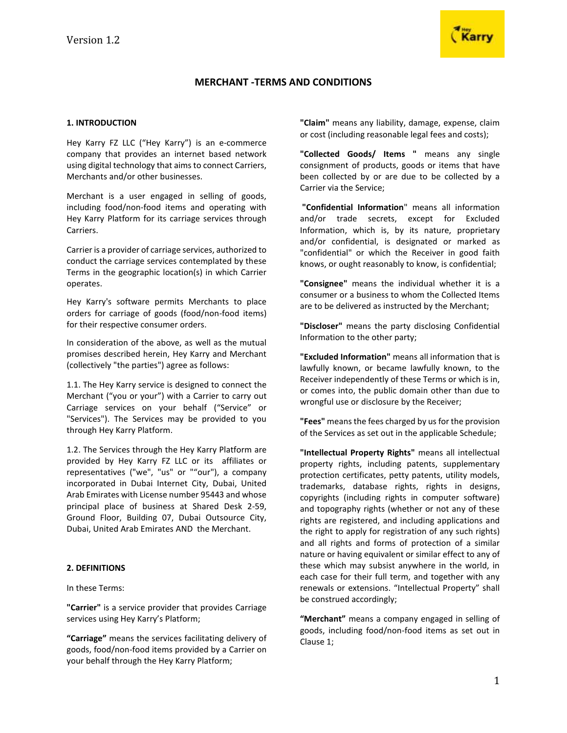

# **MERCHANT -TERMS AND CONDITIONS**

### **1. INTRODUCTION**

Hey Karry FZ LLC ("Hey Karry") is an e-commerce company that provides an internet based network using digital technology that aims to connect Carriers, Merchants and/or other businesses.

Merchant is a user engaged in selling of goods, including food/non-food items and operating with Hey Karry Platform for its carriage services through Carriers.

Carrier is a provider of carriage services, authorized to conduct the carriage services contemplated by these Terms in the geographic location(s) in which Carrier operates.

Hey Karry's software permits Merchants to place orders for carriage of goods (food/non-food items) for their respective consumer orders.

In consideration of the above, as well as the mutual promises described herein, Hey Karry and Merchant (collectively "the parties") agree as follows:

1.1. The Hey Karry service is designed to connect the Merchant ("you or your") with a Carrier to carry out Carriage services on your behalf ("Service" or "Services"). The Services may be provided to you through Hey Karry Platform.

1.2. The Services through the Hey Karry Platform are provided by Hey Karry FZ LLC or its affiliates or representatives ("we", "us" or ""our"), a company incorporated in Dubai Internet City, Dubai, United Arab Emirates with License number 95443 and whose principal place of business at Shared Desk 2-59, Ground Floor, Building 07, Dubai Outsource City, Dubai, United Arab Emirates AND the Merchant.

### **2. DEFINITIONS**

In these Terms:

**"Carrier"** is a service provider that provides Carriage services using Hey Karry's Platform;

**"Carriage"** means the services facilitating delivery of goods, food/non-food items provided by a Carrier on your behalf through the Hey Karry Platform;

**"Claim"** means any liability, damage, expense, claim or cost (including reasonable legal fees and costs);

**"Collected Goods/ Items "** means any single consignment of products, goods or items that have been collected by or are due to be collected by a Carrier via the Service;

**"Confidential Information**" means all information and/or trade secrets, except for Excluded Information, which is, by its nature, proprietary and/or confidential, is designated or marked as "confidential" or which the Receiver in good faith knows, or ought reasonably to know, is confidential;

**"Consignee"** means the individual whether it is a consumer or a business to whom the Collected Items are to be delivered as instructed by the Merchant;

**"Discloser"** means the party disclosing Confidential Information to the other party;

**"Excluded Information"** means all information that is lawfully known, or became lawfully known, to the Receiver independently of these Terms or which is in, or comes into, the public domain other than due to wrongful use or disclosure by the Receiver;

**"Fees"** means the fees charged by us for the provision of the Services as set out in the applicable Schedule;

**"Intellectual Property Rights"** means all intellectual property rights, including patents, supplementary protection certificates, petty patents, utility models, trademarks, database rights, rights in designs, copyrights (including rights in computer software) and topography rights (whether or not any of these rights are registered, and including applications and the right to apply for registration of any such rights) and all rights and forms of protection of a similar nature or having equivalent or similar effect to any of these which may subsist anywhere in the world, in each case for their full term, and together with any renewals or extensions. "Intellectual Property" shall be construed accordingly;

**"Merchant"** means a company engaged in selling of goods, including food/non-food items as set out in Clause 1;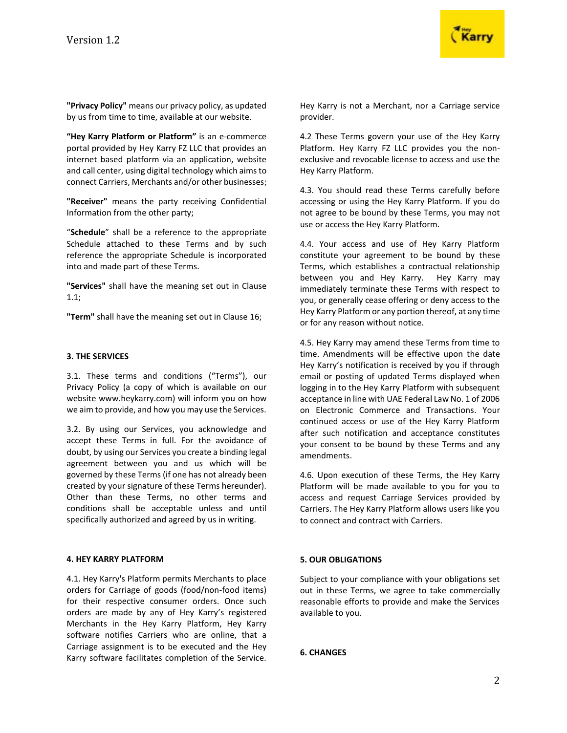

**"Privacy Policy"** means our privacy policy, as updated by us from time to time, available at our website.

**"Hey Karry Platform or Platform"** is an e-commerce portal provided by Hey Karry FZ LLC that provides an internet based platform via an application, website and call center, using digital technology which aims to connect Carriers, Merchants and/or other businesses;

**"Receiver"** means the party receiving Confidential Information from the other party;

"**Schedule**" shall be a reference to the appropriate Schedule attached to these Terms and by such reference the appropriate Schedule is incorporated into and made part of these Terms.

**"Services"** shall have the meaning set out in Clause 1.1;

**"Term"** shall have the meaning set out in Clause 16;

### **3. THE SERVICES**

3.1. These terms and conditions ("Terms"), our Privacy Policy (a copy of which is available on our website www.heykarry.com) will inform you on how we aim to provide, and how you may use the Services.

3.2. By using our Services, you acknowledge and accept these Terms in full. For the avoidance of doubt, by using our Services you create a binding legal agreement between you and us which will be governed by these Terms (if one has not already been created by your signature of these Terms hereunder). Other than these Terms, no other terms and conditions shall be acceptable unless and until specifically authorized and agreed by us in writing.

### **4. HEY KARRY PLATFORM**

4.1. Hey Karry's Platform permits Merchants to place orders for Carriage of goods (food/non-food items) for their respective consumer orders. Once such orders are made by any of Hey Karry's registered Merchants in the Hey Karry Platform, Hey Karry software notifies Carriers who are online, that a Carriage assignment is to be executed and the Hey Karry software facilitates completion of the Service.

Hey Karry is not a Merchant, nor a Carriage service provider.

4.2 These Terms govern your use of the Hey Karry Platform. Hey Karry FZ LLC provides you the nonexclusive and revocable license to access and use the Hey Karry Platform.

4.3. You should read these Terms carefully before accessing or using the Hey Karry Platform. If you do not agree to be bound by these Terms, you may not use or access the Hey Karry Platform.

4.4. Your access and use of Hey Karry Platform constitute your agreement to be bound by these Terms, which establishes a contractual relationship between you and Hey Karry. Hey Karry may immediately terminate these Terms with respect to you, or generally cease offering or deny access to the Hey Karry Platform or any portion thereof, at any time or for any reason without notice.

4.5. Hey Karry may amend these Terms from time to time. Amendments will be effective upon the date Hey Karry's notification is received by you if through email or posting of updated Terms displayed when logging in to the Hey Karry Platform with subsequent acceptance in line with UAE Federal Law No. 1 of 2006 on Electronic Commerce and Transactions. Your continued access or use of the Hey Karry Platform after such notification and acceptance constitutes your consent to be bound by these Terms and any amendments.

4.6. Upon execution of these Terms, the Hey Karry Platform will be made available to you for you to access and request Carriage Services provided by Carriers. The Hey Karry Platform allows users like you to connect and contract with Carriers.

### **5. OUR OBLIGATIONS**

Subject to your compliance with your obligations set out in these Terms, we agree to take commercially reasonable efforts to provide and make the Services available to you.

### **6. CHANGES**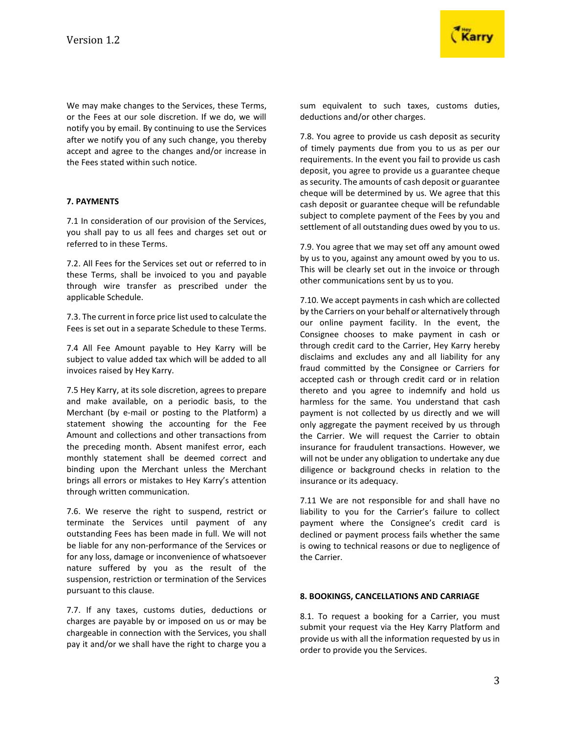We may make changes to the Services, these Terms, or the Fees at our sole discretion. If we do, we will notify you by email. By continuing to use the Services after we notify you of any such change, you thereby accept and agree to the changes and/or increase in the Fees stated within such notice.

# **7. PAYMENTS**

7.1 In consideration of our provision of the Services, you shall pay to us all fees and charges set out or referred to in these Terms.

7.2. All Fees for the Services set out or referred to in these Terms, shall be invoiced to you and payable through wire transfer as prescribed under the applicable Schedule.

7.3. The current in force price list used to calculate the Fees is set out in a separate Schedule to these Terms.

7.4 All Fee Amount payable to Hey Karry will be subject to value added tax which will be added to all invoices raised by Hey Karry.

7.5 Hey Karry, at its sole discretion, agrees to prepare and make available, on a periodic basis, to the Merchant (by e-mail or posting to the Platform) a statement showing the accounting for the Fee Amount and collections and other transactions from the preceding month. Absent manifest error, each monthly statement shall be deemed correct and binding upon the Merchant unless the Merchant brings all errors or mistakes to Hey Karry's attention through written communication.

7.6. We reserve the right to suspend, restrict or terminate the Services until payment of any outstanding Fees has been made in full. We will not be liable for any non-performance of the Services or for any loss, damage or inconvenience of whatsoever nature suffered by you as the result of the suspension, restriction or termination of the Services pursuant to this clause.

7.7. If any taxes, customs duties, deductions or charges are payable by or imposed on us or may be chargeable in connection with the Services, you shall pay it and/or we shall have the right to charge you a

sum equivalent to such taxes, customs duties, deductions and/or other charges.

7.8. You agree to provide us cash deposit as security of timely payments due from you to us as per our requirements. In the event you fail to provide us cash deposit, you agree to provide us a guarantee cheque as security. The amounts of cash deposit or guarantee cheque will be determined by us. We agree that this cash deposit or guarantee cheque will be refundable subject to complete payment of the Fees by you and settlement of all outstanding dues owed by you to us.

7.9. You agree that we may set off any amount owed by us to you, against any amount owed by you to us. This will be clearly set out in the invoice or through other communications sent by us to you.

7.10. We accept payments in cash which are collected by the Carriers on your behalf or alternatively through our online payment facility. In the event, the Consignee chooses to make payment in cash or through credit card to the Carrier, Hey Karry hereby disclaims and excludes any and all liability for any fraud committed by the Consignee or Carriers for accepted cash or through credit card or in relation thereto and you agree to indemnify and hold us harmless for the same. You understand that cash payment is not collected by us directly and we will only aggregate the payment received by us through the Carrier. We will request the Carrier to obtain insurance for fraudulent transactions. However, we will not be under any obligation to undertake any due diligence or background checks in relation to the insurance or its adequacy.

7.11 We are not responsible for and shall have no liability to you for the Carrier's failure to collect payment where the Consignee's credit card is declined or payment process fails whether the same is owing to technical reasons or due to negligence of the Carrier.

#### **8. BOOKINGS, CANCELLATIONS AND CARRIAGE**

8.1. To request a booking for a Carrier, you must submit your request via the Hey Karry Platform and provide us with all the information requested by us in order to provide you the Services.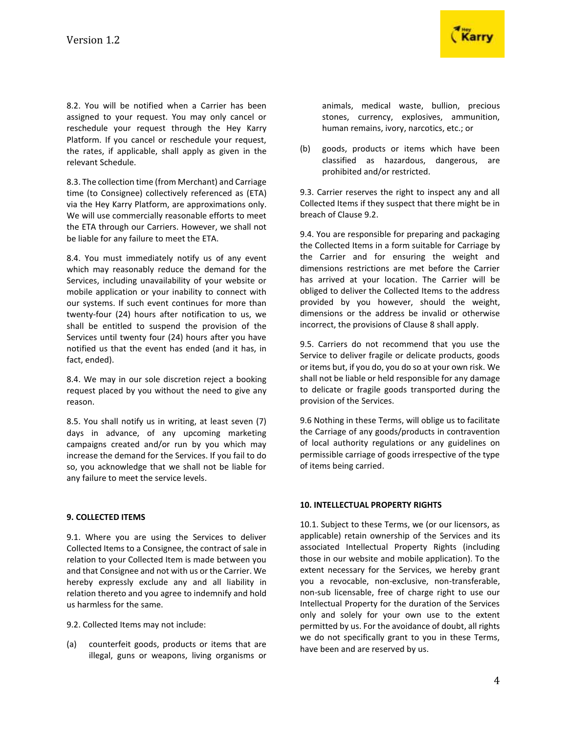

8.2. You will be notified when a Carrier has been assigned to your request. You may only cancel or reschedule your request through the Hey Karry Platform. If you cancel or reschedule your request, the rates, if applicable, shall apply as given in the relevant Schedule.

8.3. The collection time (from Merchant) and Carriage time (to Consignee) collectively referenced as (ETA) via the Hey Karry Platform, are approximations only. We will use commercially reasonable efforts to meet the ETA through our Carriers. However, we shall not be liable for any failure to meet the ETA.

8.4. You must immediately notify us of any event which may reasonably reduce the demand for the Services, including unavailability of your website or mobile application or your inability to connect with our systems. If such event continues for more than twenty-four (24) hours after notification to us, we shall be entitled to suspend the provision of the Services until twenty four (24) hours after you have notified us that the event has ended (and it has, in fact, ended).

8.4. We may in our sole discretion reject a booking request placed by you without the need to give any reason.

8.5. You shall notify us in writing, at least seven (7) days in advance, of any upcoming marketing campaigns created and/or run by you which may increase the demand for the Services. If you fail to do so, you acknowledge that we shall not be liable for any failure to meet the service levels.

# **9. COLLECTED ITEMS**

9.1. Where you are using the Services to deliver Collected Items to a Consignee, the contract of sale in relation to your Collected Item is made between you and that Consignee and not with us or the Carrier. We hereby expressly exclude any and all liability in relation thereto and you agree to indemnify and hold us harmless for the same.

9.2. Collected Items may not include:

(a) counterfeit goods, products or items that are illegal, guns or weapons, living organisms or animals, medical waste, bullion, precious stones, currency, explosives, ammunition, human remains, ivory, narcotics, etc.; or

(b) goods, products or items which have been classified as hazardous, dangerous, are prohibited and/or restricted.

9.3. Carrier reserves the right to inspect any and all Collected Items if they suspect that there might be in breach of Clause 9.2.

9.4. You are responsible for preparing and packaging the Collected Items in a form suitable for Carriage by the Carrier and for ensuring the weight and dimensions restrictions are met before the Carrier has arrived at your location. The Carrier will be obliged to deliver the Collected Items to the address provided by you however, should the weight, dimensions or the address be invalid or otherwise incorrect, the provisions of Clause 8 shall apply.

9.5. Carriers do not recommend that you use the Service to deliver fragile or delicate products, goods or items but, if you do, you do so at your own risk. We shall not be liable or held responsible for any damage to delicate or fragile goods transported during the provision of the Services.

9.6 Nothing in these Terms, will oblige us to facilitate the Carriage of any goods/products in contravention of local authority regulations or any guidelines on permissible carriage of goods irrespective of the type of items being carried.

# **10. INTELLECTUAL PROPERTY RIGHTS**

10.1. Subject to these Terms, we (or our licensors, as applicable) retain ownership of the Services and its associated Intellectual Property Rights (including those in our website and mobile application). To the extent necessary for the Services, we hereby grant you a revocable, non-exclusive, non-transferable, non-sub licensable, free of charge right to use our Intellectual Property for the duration of the Services only and solely for your own use to the extent permitted by us. For the avoidance of doubt, all rights we do not specifically grant to you in these Terms, have been and are reserved by us.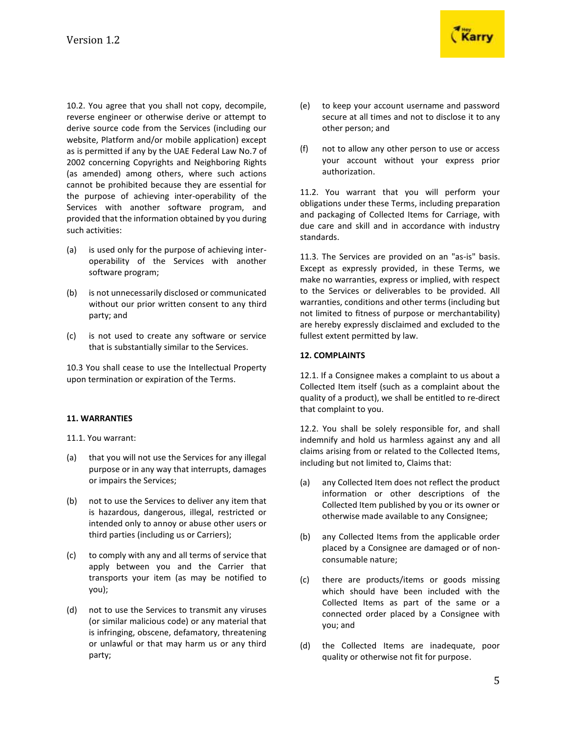10.2. You agree that you shall not copy, decompile, reverse engineer or otherwise derive or attempt to derive source code from the Services (including our website, Platform and/or mobile application) except as is permitted if any by the UAE Federal Law No.7 of 2002 concerning Copyrights and Neighboring Rights (as amended) among others, where such actions cannot be prohibited because they are essential for the purpose of achieving inter-operability of the Services with another software program, and provided that the information obtained by you during such activities:

- (a) is used only for the purpose of achieving interoperability of the Services with another software program;
- (b) is not unnecessarily disclosed or communicated without our prior written consent to any third party; and
- (c) is not used to create any software or service that is substantially similar to the Services.

10.3 You shall cease to use the Intellectual Property upon termination or expiration of the Terms.

### **11. WARRANTIES**

11.1. You warrant:

- (a) that you will not use the Services for any illegal purpose or in any way that interrupts, damages or impairs the Services;
- (b) not to use the Services to deliver any item that is hazardous, dangerous, illegal, restricted or intended only to annoy or abuse other users or third parties (including us or Carriers);
- (c) to comply with any and all terms of service that apply between you and the Carrier that transports your item (as may be notified to you);
- (d) not to use the Services to transmit any viruses (or similar malicious code) or any material that is infringing, obscene, defamatory, threatening or unlawful or that may harm us or any third party;



- (e) to keep your account username and password secure at all times and not to disclose it to any other person; and
- (f) not to allow any other person to use or access your account without your express prior authorization.

11.2. You warrant that you will perform your obligations under these Terms, including preparation and packaging of Collected Items for Carriage, with due care and skill and in accordance with industry standards.

11.3. The Services are provided on an "as-is" basis. Except as expressly provided, in these Terms, we make no warranties, express or implied, with respect to the Services or deliverables to be provided. All warranties, conditions and other terms (including but not limited to fitness of purpose or merchantability) are hereby expressly disclaimed and excluded to the fullest extent permitted by law.

### **12. COMPLAINTS**

12.1. If a Consignee makes a complaint to us about a Collected Item itself (such as a complaint about the quality of a product), we shall be entitled to re-direct that complaint to you.

12.2. You shall be solely responsible for, and shall indemnify and hold us harmless against any and all claims arising from or related to the Collected Items, including but not limited to, Claims that:

- (a) any Collected Item does not reflect the product information or other descriptions of the Collected Item published by you or its owner or otherwise made available to any Consignee;
- (b) any Collected Items from the applicable order placed by a Consignee are damaged or of nonconsumable nature;
- (c) there are products/items or goods missing which should have been included with the Collected Items as part of the same or a connected order placed by a Consignee with you; and
- (d) the Collected Items are inadequate, poor quality or otherwise not fit for purpose.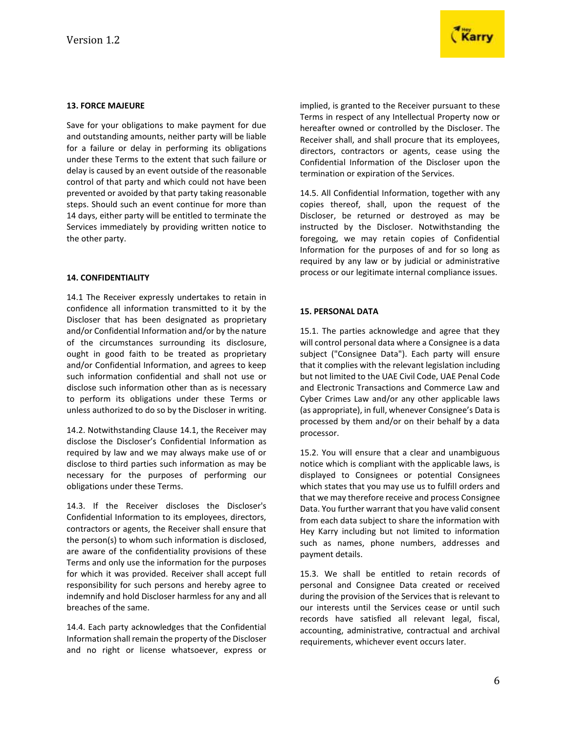

# **13. FORCE MAJEURE**

Save for your obligations to make payment for due and outstanding amounts, neither party will be liable for a failure or delay in performing its obligations under these Terms to the extent that such failure or delay is caused by an event outside of the reasonable control of that party and which could not have been prevented or avoided by that party taking reasonable steps. Should such an event continue for more than 14 days, either party will be entitled to terminate the Services immediately by providing written notice to the other party.

### **14. CONFIDENTIALITY**

14.1 The Receiver expressly undertakes to retain in confidence all information transmitted to it by the Discloser that has been designated as proprietary and/or Confidential Information and/or by the nature of the circumstances surrounding its disclosure, ought in good faith to be treated as proprietary and/or Confidential Information, and agrees to keep such information confidential and shall not use or disclose such information other than as is necessary to perform its obligations under these Terms or unless authorized to do so by the Discloser in writing.

14.2. Notwithstanding Clause 14.1, the Receiver may disclose the Discloser's Confidential Information as required by law and we may always make use of or disclose to third parties such information as may be necessary for the purposes of performing our obligations under these Terms.

14.3. If the Receiver discloses the Discloser's Confidential Information to its employees, directors, contractors or agents, the Receiver shall ensure that the person(s) to whom such information is disclosed, are aware of the confidentiality provisions of these Terms and only use the information for the purposes for which it was provided. Receiver shall accept full responsibility for such persons and hereby agree to indemnify and hold Discloser harmless for any and all breaches of the same.

14.4. Each party acknowledges that the Confidential Information shall remain the property of the Discloser and no right or license whatsoever, express or implied, is granted to the Receiver pursuant to these Terms in respect of any Intellectual Property now or hereafter owned or controlled by the Discloser. The Receiver shall, and shall procure that its employees, directors, contractors or agents, cease using the Confidential Information of the Discloser upon the termination or expiration of the Services.

14.5. All Confidential Information, together with any copies thereof, shall, upon the request of the Discloser, be returned or destroyed as may be instructed by the Discloser. Notwithstanding the foregoing, we may retain copies of Confidential Information for the purposes of and for so long as required by any law or by judicial or administrative process or our legitimate internal compliance issues.

# **15. PERSONAL DATA**

15.1. The parties acknowledge and agree that they will control personal data where a Consignee is a data subject ("Consignee Data"). Each party will ensure that it complies with the relevant legislation including but not limited to the UAE Civil Code, UAE Penal Code and Electronic Transactions and Commerce Law and Cyber Crimes Law and/or any other applicable laws (as appropriate), in full, whenever Consignee's Data is processed by them and/or on their behalf by a data processor.

15.2. You will ensure that a clear and unambiguous notice which is compliant with the applicable laws, is displayed to Consignees or potential Consignees which states that you may use us to fulfill orders and that we may therefore receive and process Consignee Data. You further warrant that you have valid consent from each data subject to share the information with Hey Karry including but not limited to information such as names, phone numbers, addresses and payment details.

15.3. We shall be entitled to retain records of personal and Consignee Data created or received during the provision of the Services that is relevant to our interests until the Services cease or until such records have satisfied all relevant legal, fiscal, accounting, administrative, contractual and archival requirements, whichever event occurs later.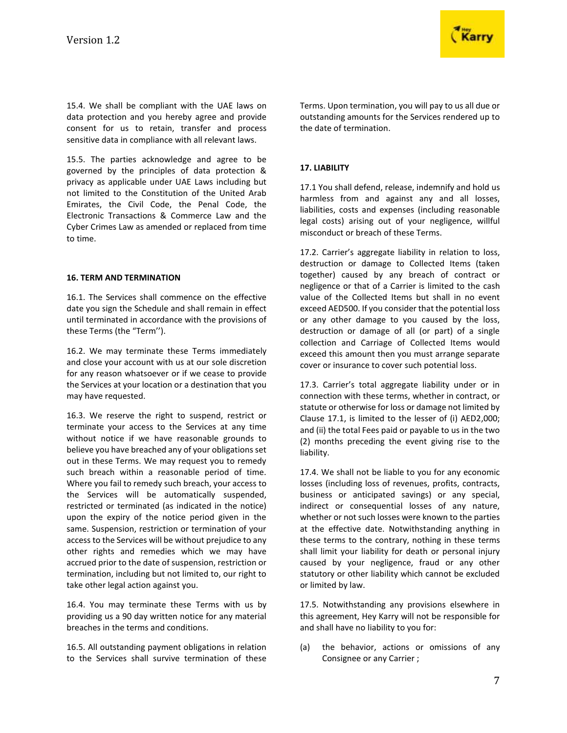

15.4. We shall be compliant with the UAE laws on data protection and you hereby agree and provide consent for us to retain, transfer and process sensitive data in compliance with all relevant laws.

15.5. The parties acknowledge and agree to be governed by the principles of data protection & privacy as applicable under UAE Laws including but not limited to the Constitution of the United Arab Emirates, the Civil Code, the Penal Code, the Electronic Transactions & Commerce Law and the Cyber Crimes Law as amended or replaced from time to time.

### **16. TERM AND TERMINATION**

16.1. The Services shall commence on the effective date you sign the Schedule and shall remain in effect until terminated in accordance with the provisions of these Terms (the "Term'').

16.2. We may terminate these Terms immediately and close your account with us at our sole discretion for any reason whatsoever or if we cease to provide the Services at your location or a destination that you may have requested.

16.3. We reserve the right to suspend, restrict or terminate your access to the Services at any time without notice if we have reasonable grounds to believe you have breached any of your obligations set out in these Terms. We may request you to remedy such breach within a reasonable period of time. Where you fail to remedy such breach, your access to the Services will be automatically suspended, restricted or terminated (as indicated in the notice) upon the expiry of the notice period given in the same. Suspension, restriction or termination of your access to the Services will be without prejudice to any other rights and remedies which we may have accrued prior to the date of suspension, restriction or termination, including but not limited to, our right to take other legal action against you.

16.4. You may terminate these Terms with us by providing us a 90 day written notice for any material breaches in the terms and conditions.

16.5. All outstanding payment obligations in relation to the Services shall survive termination of these Terms. Upon termination, you will pay to us all due or outstanding amounts for the Services rendered up to the date of termination.

# **17. LIABILITY**

17.1 You shall defend, release, indemnify and hold us harmless from and against any and all losses, liabilities, costs and expenses (including reasonable legal costs) arising out of your negligence, willful misconduct or breach of these Terms.

17.2. Carrier's aggregate liability in relation to loss, destruction or damage to Collected Items (taken together) caused by any breach of contract or negligence or that of a Carrier is limited to the cash value of the Collected Items but shall in no event exceed AED500. If you consider that the potential loss or any other damage to you caused by the loss, destruction or damage of all (or part) of a single collection and Carriage of Collected Items would exceed this amount then you must arrange separate cover or insurance to cover such potential loss.

17.3. Carrier's total aggregate liability under or in connection with these terms, whether in contract, or statute or otherwise for loss or damage not limited by Clause 17.1, is limited to the lesser of (i) AED2,000; and (ii) the total Fees paid or payable to us in the two (2) months preceding the event giving rise to the liability.

17.4. We shall not be liable to you for any economic losses (including loss of revenues, profits, contracts, business or anticipated savings) or any special, indirect or consequential losses of any nature, whether or not such losses were known to the parties at the effective date. Notwithstanding anything in these terms to the contrary, nothing in these terms shall limit your liability for death or personal injury caused by your negligence, fraud or any other statutory or other liability which cannot be excluded or limited by law.

17.5. Notwithstanding any provisions elsewhere in this agreement, Hey Karry will not be responsible for and shall have no liability to you for:

(a) the behavior, actions or omissions of any Consignee or any Carrier ;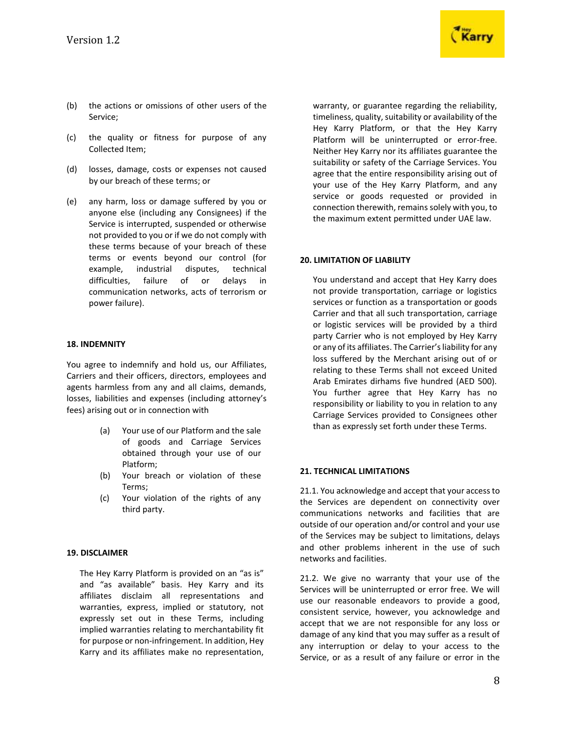

- (b) the actions or omissions of other users of the Service;
- (c) the quality or fitness for purpose of any Collected Item;
- (d) losses, damage, costs or expenses not caused by our breach of these terms; or
- (e) any harm, loss or damage suffered by you or anyone else (including any Consignees) if the Service is interrupted, suspended or otherwise not provided to you or if we do not comply with these terms because of your breach of these terms or events beyond our control (for example, industrial disputes, technical difficulties, failure of or delays in communication networks, acts of terrorism or power failure).

### **18. INDEMNITY**

You agree to indemnify and hold us, our Affiliates, Carriers and their officers, directors, employees and agents harmless from any and all claims, demands, losses, liabilities and expenses (including attorney's fees) arising out or in connection with

- (a) Your use of our Platform and the sale of goods and Carriage Services obtained through your use of our Platform;
- (b) Your breach or violation of these Terms;
- (c) Your violation of the rights of any third party.

### **19. DISCLAIMER**

The Hey Karry Platform is provided on an "as is" and "as available" basis. Hey Karry and its affiliates disclaim all representations and warranties, express, implied or statutory, not expressly set out in these Terms, including implied warranties relating to merchantability fit for purpose or non-infringement. In addition, Hey Karry and its affiliates make no representation,

warranty, or guarantee regarding the reliability, timeliness, quality, suitability or availability of the Hey Karry Platform, or that the Hey Karry Platform will be uninterrupted or error-free. Neither Hey Karry nor its affiliates guarantee the suitability or safety of the Carriage Services. You agree that the entire responsibility arising out of your use of the Hey Karry Platform, and any service or goods requested or provided in connection therewith, remains solely with you, to the maximum extent permitted under UAE law.

### **20. LIMITATION OF LIABILITY**

You understand and accept that Hey Karry does not provide transportation, carriage or logistics services or function as a transportation or goods Carrier and that all such transportation, carriage or logistic services will be provided by a third party Carrier who is not employed by Hey Karry or any of its affiliates. The Carrier's liability for any loss suffered by the Merchant arising out of or relating to these Terms shall not exceed United Arab Emirates dirhams five hundred (AED 500). You further agree that Hey Karry has no responsibility or liability to you in relation to any Carriage Services provided to Consignees other than as expressly set forth under these Terms.

### **21. TECHNICAL LIMITATIONS**

21.1. You acknowledge and accept that your access to the Services are dependent on connectivity over communications networks and facilities that are outside of our operation and/or control and your use of the Services may be subject to limitations, delays and other problems inherent in the use of such networks and facilities.

21.2. We give no warranty that your use of the Services will be uninterrupted or error free. We will use our reasonable endeavors to provide a good, consistent service, however, you acknowledge and accept that we are not responsible for any loss or damage of any kind that you may suffer as a result of any interruption or delay to your access to the Service, or as a result of any failure or error in the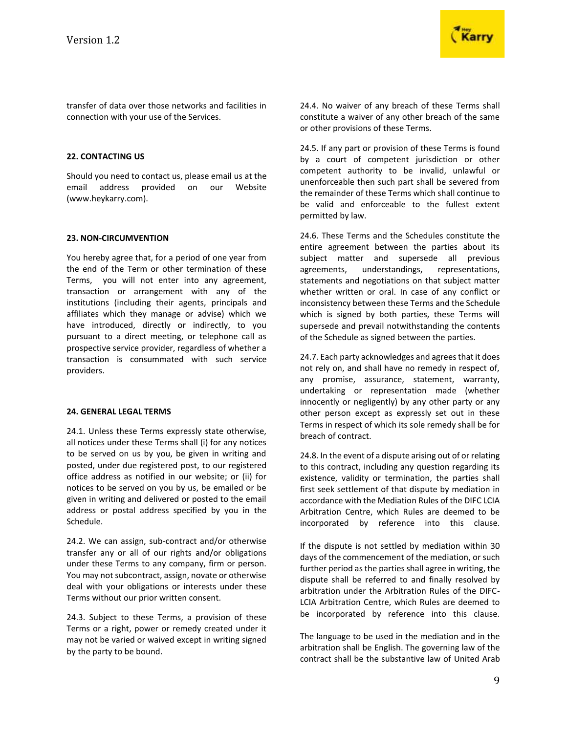

transfer of data over those networks and facilities in connection with your use of the Services.

### **22. CONTACTING US**

Should you need to contact us, please email us at the email address provided on our Website (www.heykarry.com).

### **23. NON-CIRCUMVENTION**

You hereby agree that, for a period of one year from the end of the Term or other termination of these Terms, you will not enter into any agreement, transaction or arrangement with any of the institutions (including their agents, principals and affiliates which they manage or advise) which we have introduced, directly or indirectly, to you pursuant to a direct meeting, or telephone call as prospective service provider, regardless of whether a transaction is consummated with such service providers.

#### **24. GENERAL LEGAL TERMS**

24.1. Unless these Terms expressly state otherwise, all notices under these Terms shall (i) for any notices to be served on us by you, be given in writing and posted, under due registered post, to our registered office address as notified in our website; or (ii) for notices to be served on you by us, be emailed or be given in writing and delivered or posted to the email address or postal address specified by you in the Schedule.

24.2. We can assign, sub-contract and/or otherwise transfer any or all of our rights and/or obligations under these Terms to any company, firm or person. You may not subcontract, assign, novate or otherwise deal with your obligations or interests under these Terms without our prior written consent.

24.3. Subject to these Terms, a provision of these Terms or a right, power or remedy created under it may not be varied or waived except in writing signed by the party to be bound.

24.4. No waiver of any breach of these Terms shall constitute a waiver of any other breach of the same or other provisions of these Terms.

24.5. If any part or provision of these Terms is found by a court of competent jurisdiction or other competent authority to be invalid, unlawful or unenforceable then such part shall be severed from the remainder of these Terms which shall continue to be valid and enforceable to the fullest extent permitted by law.

24.6. These Terms and the Schedules constitute the entire agreement between the parties about its subject matter and supersede all previous agreements, understandings, representations, statements and negotiations on that subject matter whether written or oral. In case of any conflict or inconsistency between these Terms and the Schedule which is signed by both parties, these Terms will supersede and prevail notwithstanding the contents of the Schedule as signed between the parties.

24.7. Each party acknowledges and agrees that it does not rely on, and shall have no remedy in respect of, any promise, assurance, statement, warranty, undertaking or representation made (whether innocently or negligently) by any other party or any other person except as expressly set out in these Terms in respect of which its sole remedy shall be for breach of contract.

24.8. In the event of a dispute arising out of or relating to this contract, including any question regarding its existence, validity or termination, the parties shall first seek settlement of that dispute by mediation in accordance with the Mediation Rules of the DIFC LCIA Arbitration Centre, which Rules are deemed to be incorporated by reference into this clause.

If the dispute is not settled by mediation within 30 days of the commencement of the mediation, or such further period as the parties shall agree in writing, the dispute shall be referred to and finally resolved by arbitration under the Arbitration Rules of the DIFC-LCIA Arbitration Centre, which Rules are deemed to be incorporated by reference into this clause.

The language to be used in the mediation and in the arbitration shall be English. The governing law of the contract shall be the substantive law of United Arab